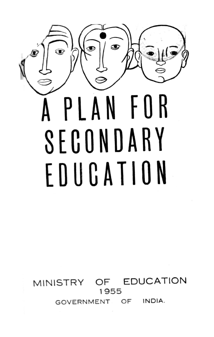

MINISTRY OF EDUCATION 1955 GOVERNMENT OF INDIA.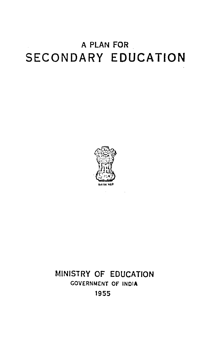# A PLAN FOR **SECONDARY EDUCATION**



## MINISTRY OF EDUCATION GOVERNMENT OF INOlA 1955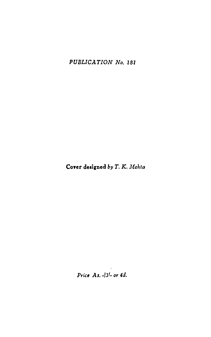*PUBLICATION No. 181* 

Cover designed by T. K. Mehta

*Price As. -/31- or 4d.*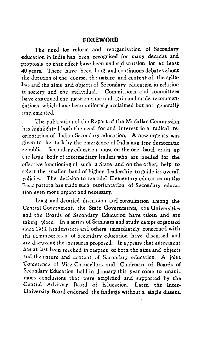## **FOREWORD**

The need for reform and reorganisation of Secondary .education in India has been recognised for many decades and proposals to that effect have been under discussion for at least *40* years. There have been long and continuous debates about the duration of the course, the nature and content of the syllabus and the aims and objects of Secondary education in relation to society and the individual. Commissions and committees have examined the question time and again and made recommendations which have been uniformly acclaimed but not generally implemented.

The publication of the Report of the Mudaliar Commission has highlighted both the need for and interest in a radical reorientation of Indian Secondary education. A new urgency was \_given to the task by the emergence of India as a free democratic republic. Secondary education must on the one hand train up the large body of intermediary leaders who are needed for the effective functioning of such a State and on the other, help to select the smaller band of higher leadership to guide its overall policies. The decision to remodel Elementary education on the Basic pattern has made such reorientation of Secondary education even more urgent and necessary.

Long and detailed discussion and consultation among the Central Government, the State Governments, the Universities and the Boards of Secondary Education have taken and are taking place. In a series of Seminars and study camps organised since 1953, headmisters and others immediately concerned with th: alministratiun of Secondary education have discussed and are discussing the measures proposed. It appears that agreement has at last been reached in respect of beth the aims and objects and the nature and content of Secondary education. A joint Conference of Vice-Chancellors and Chairman of Boards of Secondary Education held in January this year come to unanimous conclusions that were amplified and supported by the Central Advisory Board of Education. Later, the Inter-University Board endorsed the findings without a single dissent.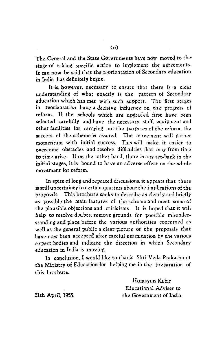The Central and the State Governments have now moved to thestage of taking specific action to implement the agreements. It can now be said that the reorientation of Secondary education in India has definitely begun.

It is, however, necessary to ensure that there is a clear understanding of what exactly is the pattern of Secondary education which has met with such support. The first stages. in reorientation have a decisive influence on the progress of reform. If the schools which are upgraded first have been selected carefully and have the necessary staff, equipment and other facilities for carrying out the purposes of the reform, the success of the scheme is assured. The movement will gather momentum with initial success. This will make it easier toovercome obstacles and resolve difficulties that may from time to time arise. If on the other hand, there is any set-back in the initial stages, it is bound to have an adverse effect on the whole movement for reform.

In spite of long and repeated discussions, it appears that there is still uncertainty in certain quarters about the implications of the proposals. This brochure seeks to describe as clearly and briefly as possible the main features of the scheme and meet some of the plausible objections and criticisms. It is hoped that it will help to resolve doubts, remove grounds for possible misunderstanding and place before the various authorities concerned as well as the general public a clear picture of the proposals that have now been accepted after careful examination by the various expert bodies and indicate the direction in which Secondary education in India is moving.

In conclusion, I would like to thank Shri Veda Prakasha of the Ministry of Education for helping me in the preparation of this brochure.

> Humayun Kabir Educational Adviser to the Government of India.

11th April, 1955.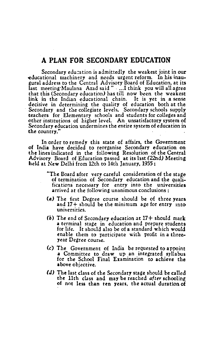## **A PLAN FOR SECONDARY EDUCATION**

Secondary edu:ation is admittedly the weakest joint in our -educational machinery and needs urgent reform. In his inaugural address to the Central Advisory Board of Education, at its last meeting·Maulana Azad said " ....I think you will all agree that this (Secondary education) has till now been the weakest link in the Indian educational chain. It is yet in a sense decisive in determining the quality of education both at the Secondary and the collegiate levels. Secondary schools supply teachers for Elementary schools and students for colleges and other institutions of higher level. An unsatisfactory system of Secondary education undermines the entire system of education in the country."

In order to remedy this state of affairs, the Government of India have decided to reorganise Secondary education on the lines indicated in the following Resolution of the Central Advisory Board of Education passed at its hst (22nd) Meeting held at New Delhi from 12th to 14th January, 1955:

> "The Board after very careful consideration of the stage of termination of Secondary education and the qualifications necessary for entry into the universities arrived at the following unanimous conclusions :

- (a) The first Degree course should be of three years and  $17+$  should be the minimum age for entry into universities.
- *(b)* The end of Secondary education at 17+ should mark a terminal stage in education and prepare students for life. It should also be of a standard which would enable them to participate with profit in a three• year Degree course.
- (c) The Government of India be requested to appoint a Committee to draw up an integrated syllabus for the School Final Examination to achieve the above objective.
- *(d)* The last class of the Secondary stage should be called the 11th class and may be reached *after* schooling of not less than ten years, the actual duration of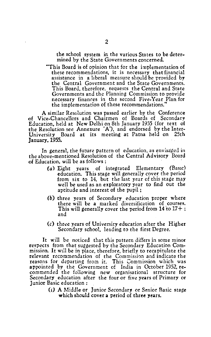the school system ir. the various States to be determined by the State Governments concerned.

This Board is of opinion that for the implementation of these recommendations, it is necessary that financial assistance in a liberal measure should be provided by the Central Government and the State Governments. This Board, therefore, requests the Central and State Governments and the Planning Commission to provide necessary finanres in the second Five-Year Plan for the implementation of these recommendations."

A similar Resolution was passed earlier by the Conference of Vice-Chancellors and Chairmen of Boards of Secondary Education, held at New Delhi on 8th January 1955 (for text of the Resolution see Annexure 'A'), and endorsed by the Inter-University Board at its meeting at Patna held on 25th January, 1955.

In general. the future pattern of education, as envisaged in the above-mentioned Resolution of the Central Advisory Board of Education, will be as follows :

- (a) Eight years of integrated Elementary (Basic) education. This stage will generally cover the period from six to 14, but the last year of this stage may well be used as an exploratory year to find out the aptitude and interest of the pupil ;
- *(b)* three years of Secondary education proper where there will be a marked diversification of courses. This will generally cover the period from  $14$  to  $17 +$ ; and
- $(c)$  three years of University education after the Higher Secondary school, leading *to* the first Degree.

It will be noticed that this pattern differs in some minor respects from that suggested by the Secondary Education Commission. It will be in place, therefore, briefly to recapitulate the relevant recommendation of the Commission and indicate the reasons for departing from it. This Commission which was appointed by the Government of India in October 1952, recommended the following new organisational structure for Secondary education after the four or five years of Primary or Junior Basic education:

> (i) A Middle or Junior Secondary or Senior Basic stage which should cover a period of three years.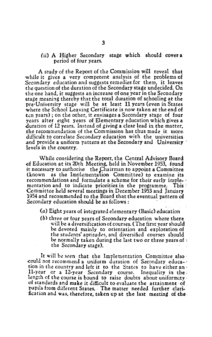### (ii) A Higher Secondary stage which should cover a period of four years.

A study of the Report of the Commission will reveal that while it gives a very competent analysis of the problems of Secondary education and suggests remedies for them, it leaves the question of the duration of the Secondary stage undecided. On the one hand, it suggests an increase of one year in the Secoadary -stage meaning thereby that the total duration of schooling at the pre-University stage will be at least 11 years (even in States where the School Leaving Certificate is now taken at the end of ten years); on the other, it envisages a Secondary stage of four years after eight years of Elementary education which gives a duration of 12 years. Instead of giving a clear lead in the matter, the recommendation of the Commission has thus made it more. difficult to correlate Secondary education with the universities .and provide a uniform pattern at the Secondary and University · levels in the country.

While considering the Report, the Central Advisory Board of Education at its 20th Meeting, held in November 1953, found it necessary to authorise the Chairman to appoint a Committee (known as the Implementation Committee) to examine its mentation and to indicate priorities in the programme. This  $\mathbb{R}$ Committee held several meetings in December1953 and January 1954 and recommended to the Board that the eventual pattern of Secondary education should be as follows:

(a) Eight years of integrated elementary (Basic) education

*(b)* three or four years of Secondary education where there will be a diversification of courses. (The first year should be devoted mainly to orientation and exploration of the students' aptitudes, and diversified courses should be normally taken during the last two or three years of  $\cdot$ the Secondary stage).

It will be seen that the Implementation Committee also could not recommend a uniform duration of Secondary education in the country and left it to the States to have either an· 11-year or a 12-year Secondary course. Inequality in the length of the course is bound to raise doubts about uniformity ' of standards and make it difficult to evaluate the attainment· of pupils from different States. The matter needed further clari-<br>fication and was, therefore, taken up at the last meeting of the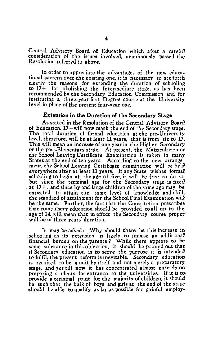Central Advisory Board of Education which after a careful consideration of the issues involved, unanimously passed the-Resolution referred to above.

In order to appreciate the advantages of the new educational pattern over the existing one, it is necessary to set forth clearly the reasons for extending the duration of schooling to 17+ for abolishing the Intermediate stage, as has been recommended by the Secondary Education Commission and for instituting a three-year first Degree course at the University level in place of the present four-year one.

## Extension in the Duration of the Secondary Stage

As stated in the Resolution of the Central Advisory Board of Education, 17+will now mark the end of the Secondary stage. The total duration of formal education at the pre-University level, therefore, will be at least 11 years, that is from six to 17. This will mean an increase ofone year in the Higher Secondary or the post-Elementary stage. At present, the Matriculation or the School Leaving Certificate Examination is taken in many States at the end of ten years. According to the new arrangement, the School Leaving Certificate examination will be held everywhere after at least 11 years. If any State wishes formal schooling to begin at the age of five, it will be free to do so.<br>but since the terminal age for the Secondary stage is fixed at 17+, and since by-and-large children of the same age may beexpected to attain the same level of knowledge and skill. the standard of attainment for the School Final Examination wil} be the same. Further, the fact that the Constitution prescribes. that compulsory education shou!d be provided to all up *to* the . age of 14, will mean that in effect the Secondary course proper will be of three years' duration.

It may be asked: Why should there be this increase in . schooling as its extension is likely to impose an additional financial burden on the parents? While there appears to besome substance in this objection, it should be pointed out that if Secondary education is to serve the purpose it is intended to fulfil. the present reform is inevitable. Secondary education is required to be a unit by itself and not merely a preparatory .stage, and yet till now it has concentrated almost entirely on preparing students for entrance to the universities. If it is to provide a terminal point for the majority of children. it should be such that the bulk of boys and girls at the end of the stage should be able to qualify as far as possible for gainful employ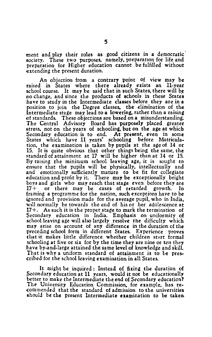ment and play their roles as good citizens in a democratic<sup>7</sup> society. These two purposes, namely, preparation for life and preparation for Higher education cannot be fulfilled without extending the present duration.

An objection from a contrary point of view may be raised in States where there already exists an 11-year school course. It may be said that in such States, there will be no change, and since the products of schools in these States have to study in the Intermediate classes before they are in a position to join the Degree classes. the elimination of the lntermediate stage may lead to a lowering, rather than a raising of standards. These objections are based on a misunderstanding. The Central Advisory Board has purposely placed greater stress, not on the years of schooling, but on the age at which Secondary education is to end. At present, even in some States which have 11 years' schooling before Matriculation, the examination is taken by pupils at the age of 14. or 15. It is quite obvious that other things being the same, the standard of attainment at  $17$  will be higher than at  $14$  or  $15$ . By raising the minimum school leaving age, it is sought to ensure that the pupils will be physically, intellectually and and emotionally sufficiently mature to be fit for collegiate education and profit by it. There may be exceptionally bright boys and girls who may reach that stage even before they are<br> $17+$  or there may be cases of retarded growth. In or there may be cases of retarded growth. framing a programme for the nation, such exceptions have to be ignored and provision made for the average pupil, who in India. will normally be towards the end of his or her adolescence at  $17 +$ . As such it is the proper stage to mark the termination of Secondary education in India. Emphasis on uniformity of school leaving age will also largely resolve the difficulty which may arise on account of any difference in the duration of the preceding school form in different States. Experience proves that it makes little difference whether children stut formal schooling at five or six for by the time they are nine or ten they have by-and-large attained the same level of knowledge and skill. That is why a uniform standard of attainment is to be prescribed for the school leaving examination in all States.

It might be inquired: Instead of fixing the duration of Secondary education at 11 years, would it not be educationally better to make the Intermediate the end of Secondary education? The University Education Commission, for example, has recommended that the standard of admission to the universities should be the present Intermediate examination to be taken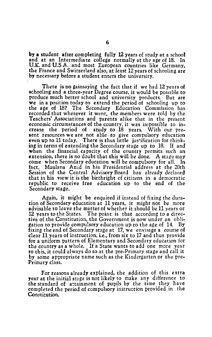by a student after completing fully 12 years of study at a school<br>and at an Intermediate college normally at the age of 18. In and at an Intermediate college normally at the age of 18. U.K. and U.S A. and most European countries like Germany, the France and Switzerland also, at least 12 years of schooling are by necessary before a student enters the university.

There is no gainsaying the fact that if we had 12 years of schooling and a three-year Degree course, it would be possible to produce much better school and university products. But are we in a position today to extend the period of schooling up to the age of 18? The Secondary Education Commission has recorded that wherever it went, the members were told by the Teachers' Associations and parents alike that in the present economic circumstances of the country, it was impossible to in-<br>crease the period of study to 18 years. With our pre-<br>sent resources we are not able to give compulsory education even up to 11 today. There is thus little justification for thinking in terms of extending the Secondary stage up to 18. If and extension, there is no doubt that this will be done. A stage may come when Secondary education will be compulsory for all. In fact, Maulana Azad in his Presidential address at the 20th Session of the Central Advisory Board has already declared that in his view it is the birthright of citizens in a democratic republic to receive free education up to the end of the Secondary stage.

Again, it might be enquired if instead of fixing the dura-<br>tion of Secondary education at 11 years, it might not be more advisable to leave the matter of whether it should be 11 years or 12 years to the States. The point is that according to a directive of the Constitution, the Government is now under an obligation to provide compulsory education up to the age of 14. By fixing the end of Secondary stage at 17, we envisage a course of clear 11 years of instruction, i.e., from six to 17 and thus provide for a uniform pattern of Elementary and Secondary education for the country as a whole. If a State wants to add one more year to this, it could always do so at the pre-Primary stage and call it by some appropriate name such as the Kindergarten or the pre-Primary class.

For reasons already explained, the addition of this extra year at the initial stage is not likely to make any difference to the standard of attainment of pupils by the time they have completed the period of compulsory instruction provided in the Constitution.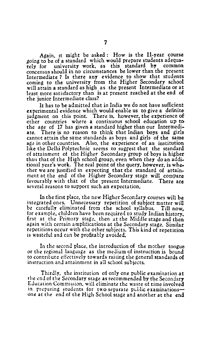Again, Jt might be asked : How is the 11-year course going to be of a standard which would prepare students adequa-<br>tely for university work as this standard by common tely for university work, as this standard by concensus should in no circumstances be lower than the present Intermediate ? Is there any evidence to show that students coming to the university from the Higher Secondary school will attain a standard as high as the present Intermediate or at least more satisfactory than is at present reached at the end of the junior Intermediate class?

It has to be admitted that in India we do not have sufficient experimental evidence which would enable us to give a definite judgment on this point. There is, however, the experience of other countries where a continuous school education up tothe age of 17 has given a standard higher than our Intermediate. There is no reason to think that Indian boys and girls cannot attain the same standards as boys and girls of the same age in other countries. Also, the experience of an institution like the Delhi Polytechnic seems to suggest that the standard of attainment ot the Higher Secondary group of boys is higher thau that of the High school group, even when they do an additional year's work. The real point of the query, however, is whether we are justified in expecting that the standard of attainment at the end of the Higher Secondary stage will compare favourably with that of the present Intermediate. There are several reasons to support such an expectation,

In the first place, the new Higher Secondary courses will be integrated ones. Unnecessary repetition of subject matter will be carefully eliminated from the school syllabus. Till now, for example, children have been required to study Indian history. first at the Primary stage, then at the Middle stage and then again with certain amplifications at the Secondary stage. Similar repetitions occur with the other subjects. This kind of repetition is wasteful and can be profitably avoided,

In the second place, the introduction of the mother tongue or the regional language as the medium of instruction is bound to contribute effectively towards raising the general standards of instruction and attainment in all school subjects.

Thirdly, the institution of only one public examination at the end of the Secondary stage as recommended by the Secondary Education Commission, will eliminate the waste of time involved in preparing students for two separate public examinationsone at the end of the High School stage and another at the end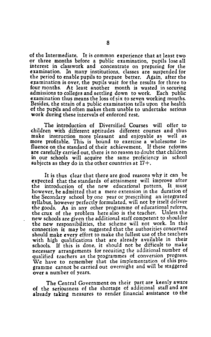of the Intermediate. It is common experience that at least two or three months before a public examination, pupils lose all interest in classwork and concentrate on preparing for the examination. In many institutions, classes are suspended for the period to enable pupils to prepare better. Again, after the examination is over, the pupils wait for the results for three to four months. At least another month is wasted in securing At least another month is wasted in securing admissions to colleges and settling down to work. Each public examination thus means the loss of  $six$  to seven working months. Besides, the strain of a public examination tells upon the health of the pupils and often makes them unable to undertake serious work during these intervals of enforced rest.

The introduction of Diversified Courses will offer to children with different aptitudes different courses and thus make instruction more pleasant and enjoyable as well as more profitable. This is bound to exercise a wholesome influence on the standard of their achievement. If these reforms are carefully carried out, there is no reason to doubt that children in our schools will acquire the same proficiency in school subjects as they do in the other countries at  $17+$ .

It is thus clear that there are good reasons why it can be expected that the standards of attainment will improve after the introduction of the new educational pattern. It must however, be admitted that a mere extension in the duration of the Secondary school by one year or prescribing an integrated syllabus, however perfectly formulated, will not by itself deliver the goods. As in any other programme of educational reform, the crux of the problem here also is the teacher. Unless the new schools are given the additional staff competent to shoulder the new responsibilities, the scheme will not work. In this connection it may be suggested that the authorities concerned should make every effort to make the fullest use of the teachers with high qualifications that are already available in their schools. If this is done, it should not be difficult to make necessary arrangements for recuiting the additional number of qualified teachers as the programmes of conversion progress. We have to remember that the implementation of this programme cannot be carried out overnight and will be staggered over a number of years.

The Central Government on their part are keenly aware of the seriousness of the shortage of additional staff and are already taking measures to render financial assistance to the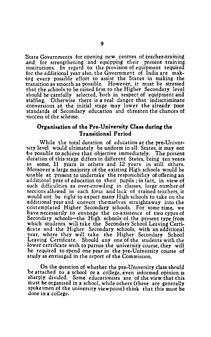'State Governments for opening new centres of teacher-training and for strengthening and equipping their present training institutions. In regard to the provision of equipment required for the additional year also, the Government of India are mak ing every possible effort to assist the States in making the !transition as smooth as possible. However, it must be stressed that the schools to be raised first to the Higher Secondary level should be carefully selected, both in respect of equipment and staffing. Otherwise there is a real danger that indiscriminate. -conversions at the initial stage may lower the already poor standards of Secondary education and threaten the chances of :success of the scheme.

## **Organisation of the Pre-University Class during the Transitional Period**

While the total duration of education at the pre-Univer sity level would ultimately be uniform in all States, it may not be possible to achieve that objective immediately. The present duration of this stage differs in different States, being ten years<br>in some, 11 years in others and 12 years in still others. some, 11 years in others and 12 years in still others. Moreover a large majority of the existing High schools would be unable at present to undertake the responsibility of offering an .additional year of education to their pupils ; in fact, in view of such difficulties as over-crowding in classes, large number of sections allowed in each form and lack of trained teachers, it would not be right to expect many High schools to take on the .additional year and convert themselves straightaway into the -contemplated Higher Secondary schools. For some time, we have necessarily to envisage the co-existence of two types of Secondary schools—the High schools of the present type from which students will take the Secondary School Leaving Certi ficate and the Higher Secondary schools, with an additional year, where they will take the Higher Secondary School Leaving Certificate. Should any one of the students with the lower certificate wish to pursue the university course, they will be required to spend one year in the pre-University course of study as envisaged in the report of the Commission.

On the question of whether the pre-University class should be attached to a school or a college, even informed opinion is sharply divided. Some educationists are of the view that this must be organised in a school, while others (these are generally spokesmen of the university viewpoint) think that this must be done in a college.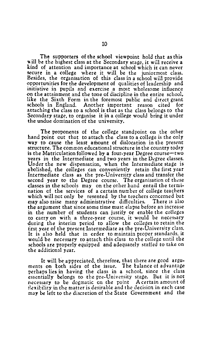The supporters of the school viewpoint hold that as this will be the highest class at the Secondary stage, it will receive a kind of attention and importance at school which it can never secure in a college where it will be the juniormost class. Besides, the organisation of this class in a school will provide opportunities for the development of qualities of leadership and on the attainment and the tone of discipline in the entire school, like the Sixth Form in the foremost public and direct grant<br>schools in England Apother important reason cited for schools in England. Another important reason cited attaching the class to a school is that as the class belongs to the Secondary stage, to organise it in a college would bring it under the undue domination of the university.

The proponents of the college standpoint on the other hand point out that to attach the class to a college is the only way to cause the least amount of dislocation in the present structure. The common educational structure in the country today is the Matriculation followed by a four-year Degree course—two years in the Intermediate and two years in the Degree classes. Under the new dispensation, when the Intermediate stage is abolished, the colleges can conveniently retain the first year Intermediate class as the pre-University class and transfer the second year to the Degree course. The organisation of these classes in the schools may on the other hand entail the termination of the services of a certain number of college teachers which will not only *be* resented by the teachers concerned but may also raise many administrative difficulties. There 1s also the argument that since some time must elapse before an increase in the number of students can justify or enable the colleges to carry on with a three-year course, it would be necessary during the interim period to allow the colleges to retain the tirst year of the present Intermediate as the pre-University class. It is also held that in order to maintain proper standards, it would be necessary to attach this class to the college until the schools are properly equipped and adequately staffed to take on the additional year.

It will be appreciated, therefore, that there are good arguments on both sides of the issue. The balance of advantage perhaps lies in having the class in a schcol, since the class essentially belongs to the pre-University stage. But it is not necessary to be dogmatic on the point A certain amount of tlexibility in the matter is desirable and the Jecision in each case may *be* left to the discretion of the: State Government and the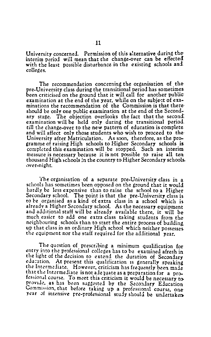University concerned. Permission of this alternative during theinterim period will mean that the change-over can be effected with the least possible disturbance in the existing schools and colleges.

The recommendation concerning the organisation of thepre-University class during the transitional period has sometimes been criticised on the ground that it will call for another public examination at the end of the year, while on the subject of examinations the recommendation of the Commission is that there· should be only one public examination at the end of the Secondary stage. The objection overlooks the fact that the second: examination will be held only during the transitional period till the change-over to the new pattern of education is complete and will affect only those students who wish to proceed to the University after Matriculation. As soon, therefore, as the programme of raising High schools to Higher Secondary schools is completed this examination will be stopped. Such an interim measure is necessary because it is not possible to raise all ten thousand High schools in the country to Higher Secondary schools. .wer-night.

The organisation of a separate pre-University class in a schools has sometimes been opposed on the ground that it would hardly be less expensive than to raise the school to a Higher Secondary school. The point is that the pre-University class is to be organised as a kind of extra class in a school which is already a Higher Secondary school. As the necessary equipment and additional staff will be already available there, it will bemuch easier to add one extra class taking studznts from the neighbouring schools than to start the entire process of building. up that class in an ordinary High school which neither possesses. the equipment nor the staff required for the additional year.

The question of prescribing a minimum qualification for entry into the professional colleges has to be examined afresh in the light of the decision to extend the duration of Secondary education. At present this qualification is generally speaking the Intermediate. However, criticism has frequently been made that the Intermediate is not adequate as a preparation for a professional course. To meet this criticism it would be necessary toprovide, as has been suggested by the Secondary Education Commission, that before taking up a professional course, oneyear of intensive pre-professional study should be undertaken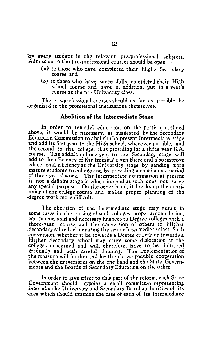'by every student in the relevant pre-professional subjects. Admission to the pre-professional courses should be open.-

- (a) to those who have completed their Higher Secondary course, and
- (b) to those who have successfully completed their High school course and have in addition, put in a year's course at the pre-University class,

The pre-professional courses should as far as possible be ·organised in the professional institutions themselves. ·

## **Abolition of the Intermediate Stage**

In order to remodel education on the pattern outlined .above, it would be necessary, as suggested by the Secondary Education Commission to abolish the present Intermediate stage .and add its first year to the High school. wherever possible, and the second to the college, thus providing for a three year B.A. course. The addition of one year to the Secondary stage will .add to the efficiency of the training given there and also improve educational efficiency at the University stage by sending more mature students to college and by providing a continuous period ·of three years' work. The Intermediate examination at present is not a definite stage in education and as such does not serve any special purpose. On the other hand, it breaks up the continuity of the college course and makes proper planning of the -degree work more difficult.

The abolition of the Intermediate stage may result in some cases in the raising of such colleges proper accomodation, -equipment, staff and necessary finances to Degree colleges with a three-year course and the conversion of others to Higher .Secondary schools eliminating the senior Intermediate class. Such ·Conversion, whether it be towards a Degree college or towards a Higher Secondary school may cause some dislocation in the -colleges concerned and will, therefore, have to be initiated gradually and with careful planning. The implementation of the measure will further call for the closest possible cooperation between the universities on the one hand and the State Govern- ·ments and the Boards of Secondary Education on the other.

In order to give effect to this part of the reform. each State ·Government should appoint a small committee representing -inter alia the University and Secondary Board authorities of its area which should examine the case of each of its Intermediate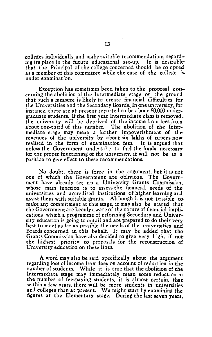colleges individually and make suitable recommendations regarding its place in the future educational set-up. It is desirablethat the Principal of the college concerned should be co-opted as a member of this committee while the case of the college is. under examination.

Exception has sometimes been taken to the proposal concerning the abolition of the Intermediate stage on the ground that such a measure is likely to create financial difficulties for the Universities and the Secondary Boards. In one university, for instance, there are at present reported to be about 80,000 under. graduate students. If the first year Intermediate class is removed,. the university will be deprived of the income from tees from about one-third of this number. The abolition of the Intermediate stage may mean a further impoverishment of therevenues of the university by about six lakhs of rupees now realised in the form of examination fees. It is argued that unless the Government undertake to find the funds necessary for the proper functioning of the university, it will not be in a position to give effect to these recommendations.

No doubt, there is force in the argument, but it is not one of which the Government are oblivious. The Government have already set up a University Grants Commission,. whose main function is to assess the financial needs of theuniversities and accredited institutions of higher learning and assist them with suitable grants. Although it is not possible tomake any commitment at this stage, it may,also be stated that the Government are keenly aware of the nature of financial implications which a programme of reforming Secondary and University education is going to entail and are prepared to do their very best to meet as far as possible the needs of the universities and Boards concerned in this behalf. It may be added that the-Grants Commission have also decided to give very high, if not the highest priority to proposals for the reconstruction of University education on these lines.

A word may also be said specifically about the argument regarding loss of income from fees on account of reduction in the number of students. While it is true that the abolition of the Intermediate stage may immediately mean some reduction in the number of fee-paying students, it is almost certain, that within a few years, there will be more students in universities. and colleges than at present. We might start by examining the figures at the Elementary stage. During the last seven years.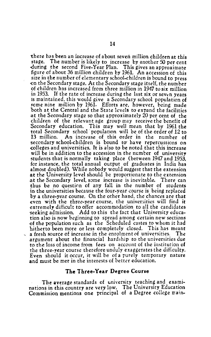'there has been an increase of about seven million children at this stage. The number is likely to increase by another 50 per cent -during the second Five-Year Plan. This gives an approximate figure of about 36 million children by 1961. An accession of this size in the number of elementary school-children is bound to press on the Secondary stage. At the Secondary stage itself, the number of children has increased from three million in 1947 to six: million in 1953. If the rate of increase during the last six or seven years<br>is maintained, this would give a Secondary school population of is maintained, this would give a Secondary school population of some nine million by 1961. Efforts are, however, being made both at the Central and the State levels to expand the facilities at the Secondary stage so that approximately 20 per cent of the children of the relevant age group may receive the benefit of Secondary education. This may well mean that by 1961 the total Secondary school population will be of the order of 12 to<br>13 million. An increase of this order in the number of 13 million. An increase of this order in the number of secondary school-children is bound to have repercussions on colleges and universities. It is also to be noted that this increase will be in addition to the accession in the number of university students that is normally taking place (between 1947 and 1953, for instance. the total annual output of graduates in India has almost doubled). While nobody would suggest that the extension at the University level should be proportionate to the extension<br>at the Secondary level, some increase is inevitable. There can thus be no question of any fall in the number of students in the universities because the four-year course is being replaced by a three-year course. On the other hand. the chances are that even with the three-year course, the universities will find it extremely difficult to offer accommodation to all the candidates seeking admission. Add to this the fact that University education also is now beginning to spread among certain new sections of the population such as the Scheduled castes to whom it had<br>hitherto been more or less completely closed. This has meant a fresh source of increase in the enrolment of universities. The argument about the financial hardship to the universities due to the loss of income from fees on account of the institution of the three-year course therefore unduly exaggerates the difficulty. Even should it occur, it will be of a purely temporary nature and must be met in the interests of better education.

#### **The Three· Year Degree Course**

The average standards of university teaching and examinations in this country are very low. The University Education Commission mentions one principal of a Degree college main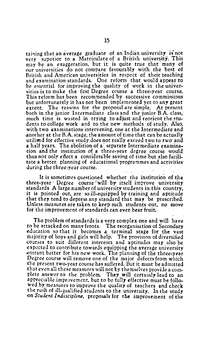taining that an average graduate of an Indian university is not very superior to a Matriculate of a British university. This may be an exaggeration, but it is quite true that many of our universities do not compare favourably with the best of British and American universities in respect of their teaching and examination standards. One reform that would appear to be essential for improving the quality of work in the univer-<br>sities is to make the first Degree course a three-year course. This reform has been recommended by successive commissions but unfortunately it has not been implemented yet to any great extent. The reasons for the proposal are simple. At present both in the junior Intermediate class and the junior B.A. class, much time is wasted in trying to adjust and reorient the students to college work and to the new methods of study: Also, with two examinations intervening, one at the Intermediate and another at the B.A. stage, the amount of time that can be actually<br>utilised for effective study does not really exceed two to two and a half years. The abolition of a separate Intermediate examination and the institution of a three-year degree course would thus not only effect a considerable saving of time but also facilitate a better planning of educational programmes and activities· during the three-year course.

It is sometimes questioned whether the institution of the three-year Degree course will by itself improve university standards. A large number of university students in this country, it is pointed out, are so ill-equipped by training and aptitude that they tend *to* depress any standard that may be prescribed. Unless measures are taken to keep such students out, no move<br>for the improvement of standards can ever bear fruit.

The problem of standards is a very complex one and will have to be attacked on many fronts. The reorganisation of Secondary education so that it becomes a terminal stage for the vast majority of boys and girls will help. The provision of diversified courses to suit different interests and aptitudes may also be expected to contribute towards equipping the average university entrant better for his new work. The planning of the three-year Degree course will remove one of the major defects from which the present two-year course has suffered. But it must be admitted plete answer to the problem. They will certainly lead to an appreciable improvement, but to be fully effective must be followed by measures to improve the quality of teachers and check the rush of ill-qualified students to the university. In the study ()n *Stucknt Indiscipline,* proposals for the improvement of the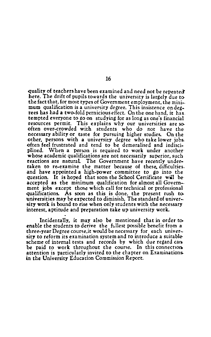quality of teachers have been examined and need not be repeated. here. The drift of pupils towards the university is largely due to the fact that, for most types of Government employment, the minimum qualification is a university degree. This insistence on degrees has had a two-fold pernicious effect. On the one hand, it has. tempted everyone to go on studying for as long as one's financial resources permit. This explains why our universities are sooften over-crowded with students who do not have the necessary ability or taste for pursuing higher studies. On the other, persons with a university degree who take lower jobs. often feel frustrated and tend to be demoralised and indisciplined. When a person is required to work under another whose academic qualifications are not necessarily superior, such reactions are natural The Government have recently undertaken to re-examine the matter because of these, difficulties. and have appointed a high-power committee *to* go into the question. It is hoped that soon the School Certificate will be accepted as the minimum. qualification for almost all Govern- ment jobs except those which call for technical or professional qualifications. As soon as this is done. the present rush touniversities may be expected to diminish. The standard of university work is bound to rise when only students with the necessary interest. aptitude and preparation take up university work.

Incidentally, it may also be mentioned that in order to enable the students to derive the fullest possible benefit from a three-year Degree course,it would be necessary for each university to reform its examination system and to introduce a suitablescheme of internal tests and records by which due regard can. be paid to work throughout the course. In this connection attention is particularly invited to the chapter on Examinations. in the University Education Commission Report.

## 16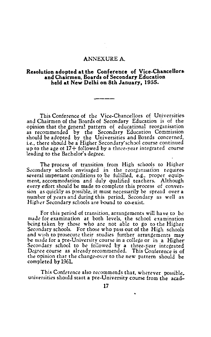## ANNEXURE A.

### **Resolution adopted at the Conference of Vice-Chancellors. and Chairmen, Boards of Secondary Education held at New Delhi on 8th January, 1955.**

This Conference of the Vice-Chancellors of Universities. and Chairmen of the Boards of Secondary Education is of the opinion that the genera! pattern of educational reorganisation as recommended by the Secondary Education Commission should be adopted by the Universities and Boards concerned. i.e., there should be a Higher Secondary'school course continued up to the age of 17+ followed by a three-year integrated courseleading to the Bachelor's degree.

The process of transition from High schools to Higher Secondary schools envisaged in the reorganisation requires. several important conditions to be fulfilled, e.g., proper equipment, accommodation and duly qualified teachers. Although every effort should be made to complete this process of conversion as quickly as possible, it must necessarily be spread over a number of years and during this period. Secondary as well as Higher Secondary schools are bound to co-exist.

For this period of transition, arrangements will have to be made for examination at both levels, the school examination being taken by those who are not able to go to the Higher Secondary schools. For those who pass out of the High schools and wish to prosecute their studies further arrangements may be made for a pre-University course in a college or in a Higher Secondary school to be followed by a three-year integrated Degree course as already recommended. This Conference is of the opinion that the change-over to the new pattern should be completed by 1961.

This Conference also recommends that, wherever possible, universities should start a pre-University course from the acad-